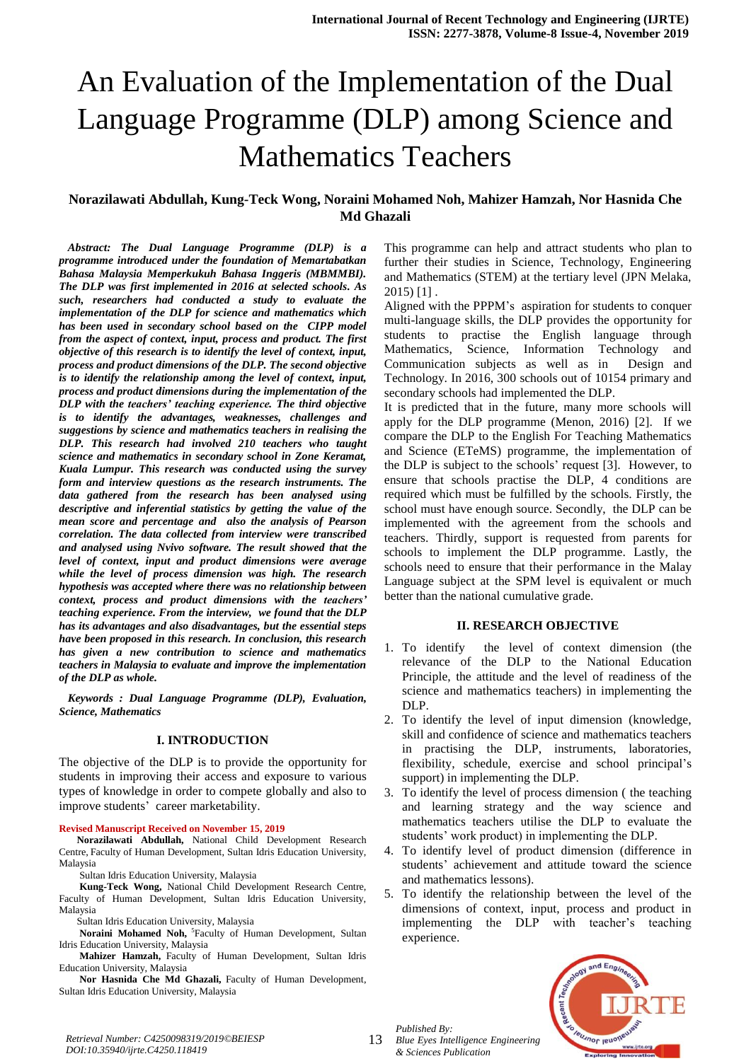# An Evaluation of the Implementation of the Dual Language Programme (DLP) among Science and Mathematics Teachers

## **Norazilawati Abdullah, Kung-Teck Wong, Noraini Mohamed Noh, Mahizer Hamzah, Nor Hasnida Che Md Ghazali**

*Abstract: The Dual Language Programme (DLP) is a programme introduced under the foundation of Memartabatkan Bahasa Malaysia Memperkukuh Bahasa Inggeris (MBMMBI). The DLP was first implemented in 2016 at selected schools. As such, researchers had conducted a study to evaluate the implementation of the DLP for science and mathematics which has been used in secondary school based on the CIPP model from the aspect of context, input, process and product. The first objective of this research is to identify the level of context, input, process and product dimensions of the DLP. The second objective is to identify the relationship among the level of context, input, process and product dimensions during the implementation of the DLP with the teachers' teaching experience. The third objective is to identify the advantages, weaknesses, challenges and suggestions by science and mathematics teachers in realising the DLP. This research had involved 210 teachers who taught science and mathematics in secondary school in Zone Keramat, Kuala Lumpur. This research was conducted using the survey form and interview questions as the research instruments. The data gathered from the research has been analysed using descriptive and inferential statistics by getting the value of the mean score and percentage and also the analysis of Pearson correlation. The data collected from interview were transcribed and analysed using Nvivo software. The result showed that the level of context, input and product dimensions were average while the level of process dimension was high. The research hypothesis was accepted where there was no relationship between context, process and product dimensions with the teachers' teaching experience. From the interview, we found that the DLP has its advantages and also disadvantages, but the essential steps have been proposed in this research. In conclusion, this research has given a new contribution to science and mathematics teachers in Malaysia to evaluate and improve the implementation of the DLP as whole.* 

*Keywords : Dual Language Programme (DLP), Evaluation, Science, Mathematics*

#### **I. INTRODUCTION**

The objective of the DLP is to provide the opportunity for students in improving their access and exposure to various types of knowledge in order to compete globally and also to improve students' career marketability.

#### **Revised Manuscript Received on November 15, 2019**

**Norazilawati Abdullah,** National Child Development Research Centre, Faculty of Human Development, Sultan Idris Education University, Malaysia

Sultan Idris Education University, Malaysia

**Kung-Teck Wong,** National Child Development Research Centre, Faculty of Human Development, Sultan Idris Education University, Malaysia

Sultan Idris Education University, Malaysia

Noraini Mohamed Noh, <sup>5</sup>Faculty of Human Development, Sultan Idris Education University, Malaysia

**Mahizer Hamzah,** Faculty of Human Development, Sultan Idris Education University, Malaysia

**Nor Hasnida Che Md Ghazali,** Faculty of Human Development, Sultan Idris Education University, Malaysia

This programme can help and attract students who plan to further their studies in Science, Technology, Engineering and Mathematics (STEM) at the tertiary level (JPN Melaka,  $2015$  [1].

Aligned with the PPPM's aspiration for students to conquer multi-language skills, the DLP provides the opportunity for students to practise the English language through Mathematics, Science, Information Technology and Communication subjects as well as in Design and Technology. In 2016, 300 schools out of 10154 primary and secondary schools had implemented the DLP.

It is predicted that in the future, many more schools will apply for the DLP programme (Menon, 2016) [2]. If we compare the DLP to the English For Teaching Mathematics and Science (ETeMS) programme, the implementation of the DLP is subject to the schools' request [3]. However, to ensure that schools practise the DLP, 4 conditions are required which must be fulfilled by the schools. Firstly, the school must have enough source. Secondly, the DLP can be implemented with the agreement from the schools and teachers. Thirdly, support is requested from parents for schools to implement the DLP programme. Lastly, the schools need to ensure that their performance in the Malay Language subject at the SPM level is equivalent or much better than the national cumulative grade.

#### **II. RESEARCH OBJECTIVE**

- 1. To identify the level of context dimension (the relevance of the DLP to the National Education Principle, the attitude and the level of readiness of the science and mathematics teachers) in implementing the DLP.
- 2. To identify the level of input dimension (knowledge, skill and confidence of science and mathematics teachers in practising the DLP, instruments, laboratories, flexibility, schedule, exercise and school principal's support) in implementing the DLP.
- 3. To identify the level of process dimension ( the teaching and learning strategy and the way science and mathematics teachers utilise the DLP to evaluate the students' work product) in implementing the DLP.
- 4. To identify level of product dimension (difference in students' achievement and attitude toward the science and mathematics lessons).
- 5. To identify the relationship between the level of the dimensions of context, input, process and product in implementing the DLP with teacher's teaching experience.

*Published By: Blue Eyes Intelligence Engineering & Sciences Publication* 



*Retrieval Number: C4250098319/2019©BEIESP* 13 *DOI:10.35940/ijrte.C4250.118419*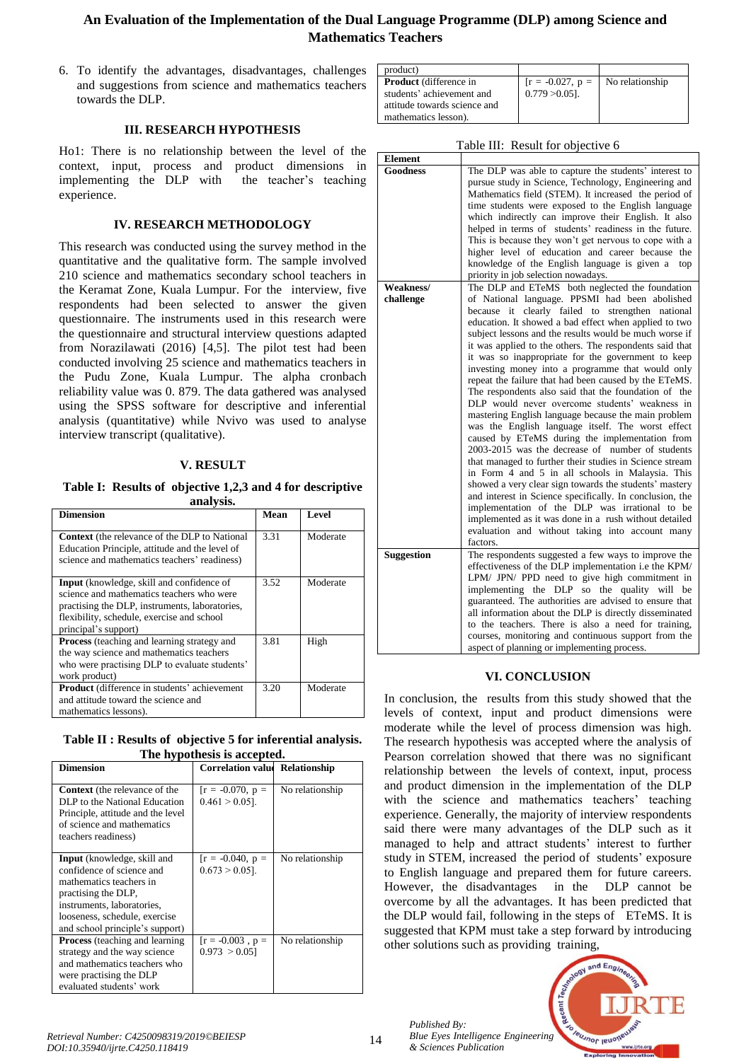# **An Evaluation of the Implementation of the Dual Language Programme (DLP) among Science and Mathematics Teachers**

6. To identify the advantages, disadvantages, challenges and suggestions from science and mathematics teachers towards the DLP.

## **III. RESEARCH HYPOTHESIS**

Ho1: There is no relationship between the level of the context, input, process and product dimensions in implementing the DLP with the teacher's teaching experience.

## **IV. RESEARCH METHODOLOGY**

This research was conducted using the survey method in the quantitative and the qualitative form. The sample involved 210 science and mathematics secondary school teachers in the Keramat Zone, Kuala Lumpur. For the interview, five respondents had been selected to answer the given questionnaire. The instruments used in this research were the questionnaire and structural interview questions adapted from Norazilawati (2016) [4,5]. The pilot test had been conducted involving 25 science and mathematics teachers in the Pudu Zone, Kuala Lumpur. The alpha cronbach reliability value was 0. 879. The data gathered was analysed using the SPSS software for descriptive and inferential analysis (quantitative) while Nvivo was used to analyse interview transcript (qualitative).

## **V. RESULT**

**Table I: Results of objective 1,2,3 and 4 for descriptive analysis.**

| <b>Dimension</b>                                                                                                                                                                                               | Mean | <b>Level</b> |
|----------------------------------------------------------------------------------------------------------------------------------------------------------------------------------------------------------------|------|--------------|
| Context (the relevance of the DLP to National<br>Education Principle, attitude and the level of<br>science and mathematics teachers' readiness)                                                                | 3.31 | Moderate     |
| Input (knowledge, skill and confidence of<br>science and mathematics teachers who were<br>practising the DLP, instruments, laboratories,<br>flexibility, schedule, exercise and school<br>principal's support) | 3.52 | Moderate     |
| <b>Process</b> (teaching and learning strategy and<br>the way science and mathematics teachers<br>who were practising DLP to evaluate students'<br>work product)                                               | 3.81 | High         |
| <b>Product</b> (difference in students' achievement<br>and attitude toward the science and<br>mathematics lessons).                                                                                            | 3.20 | Moderate     |

**Table II : Results of objective 5 for inferential analysis. The hypothesis is accepted.**

| THE Hypothesis is accepted.                                                                                                                                                                                         |                                         |                 |  |
|---------------------------------------------------------------------------------------------------------------------------------------------------------------------------------------------------------------------|-----------------------------------------|-----------------|--|
| <b>Dimension</b>                                                                                                                                                                                                    | <b>Correlation value Relationship</b>   |                 |  |
| <b>Context</b> (the relevance of the<br>DLP to the National Education<br>Principle, attitude and the level<br>of science and mathematics<br>teachers readiness)                                                     | $[r = -0.070, p =$<br>$0.461 > 0.05$ .  | No relationship |  |
| <b>Input</b> (knowledge, skill and<br>confidence of science and<br>mathematics teachers in<br>practising the DLP,<br>instruments, laboratories,<br>looseness, schedule, exercise<br>and school principle's support) | $[r = -0.040, p =$<br>$0.673 > 0.05$ ]. | No relationship |  |
| <b>Process</b> (teaching and learning<br>strategy and the way science<br>and mathematics teachers who<br>were practising the DLP<br>evaluated students' work                                                        | $[r = -0.003, p =$<br>0.973 > 0.05      | No relationship |  |

| product)                      |                                    |  |
|-------------------------------|------------------------------------|--|
| <b>Product</b> (difference in | $[r = -0.027, p =$ No relationship |  |
| students' achievement and     | $0.779 > 0.051$ .                  |  |
| attitude towards science and  |                                    |  |
| mathematics lesson).          |                                    |  |

| Table III: Result for objective 6 |                                                                                                                                                                                                                                                                                                                                                                                                                                                                                                                                                                                                                                                                                                                                                                                                                                                                                                                                                                                                                                                                                                                                                                                                |  |
|-----------------------------------|------------------------------------------------------------------------------------------------------------------------------------------------------------------------------------------------------------------------------------------------------------------------------------------------------------------------------------------------------------------------------------------------------------------------------------------------------------------------------------------------------------------------------------------------------------------------------------------------------------------------------------------------------------------------------------------------------------------------------------------------------------------------------------------------------------------------------------------------------------------------------------------------------------------------------------------------------------------------------------------------------------------------------------------------------------------------------------------------------------------------------------------------------------------------------------------------|--|
| <b>Element</b>                    |                                                                                                                                                                                                                                                                                                                                                                                                                                                                                                                                                                                                                                                                                                                                                                                                                                                                                                                                                                                                                                                                                                                                                                                                |  |
| <b>Goodness</b>                   | The DLP was able to capture the students' interest to<br>pursue study in Science, Technology, Engineering and<br>Mathematics field (STEM). It increased the period of<br>time students were exposed to the English language<br>which indirectly can improve their English. It also<br>helped in terms of students' readiness in the future.<br>This is because they won't get nervous to cope with a<br>higher level of education and career because the<br>knowledge of the English language is given a<br>top<br>priority in job selection nowadays.                                                                                                                                                                                                                                                                                                                                                                                                                                                                                                                                                                                                                                         |  |
| Weakness/                         | The DLP and ETeMS both neglected the foundation                                                                                                                                                                                                                                                                                                                                                                                                                                                                                                                                                                                                                                                                                                                                                                                                                                                                                                                                                                                                                                                                                                                                                |  |
| challenge                         | of National language. PPSMI had been abolished<br>because it clearly failed to strengthen national<br>education. It showed a bad effect when applied to two<br>subject lessons and the results would be much worse if<br>it was applied to the others. The respondents said that<br>it was so inappropriate for the government to keep<br>investing money into a programme that would only<br>repeat the failure that had been caused by the ETeMS.<br>The respondents also said that the foundation of the<br>DLP would never overcome students' weakness in<br>mastering English language because the main problem<br>was the English language itself. The worst effect<br>caused by ETeMS during the implementation from<br>2003-2015 was the decrease of number of students<br>that managed to further their studies in Science stream<br>in Form 4 and 5 in all schools in Malaysia. This<br>showed a very clear sign towards the students' mastery<br>and interest in Science specifically. In conclusion, the<br>implementation of the DLP was irrational to be<br>implemented as it was done in a rush without detailed<br>evaluation and without taking into account many<br>factors. |  |
| <b>Suggestion</b>                 | The respondents suggested a few ways to improve the<br>effectiveness of the DLP implementation i.e the KPM/<br>LPM/ JPN/ PPD need to give high commitment in<br>implementing the DLP so the quality will be<br>guaranteed. The authorities are advised to ensure that<br>all information about the DLP is directly disseminated<br>to the teachers. There is also a need for training,<br>courses, monitoring and continuous support from the<br>aspect of planning or implementing process.                                                                                                                                                                                                                                                                                                                                                                                                                                                                                                                                                                                                                                                                                                   |  |

## **VI. CONCLUSION**

In conclusion, the results from this study showed that the levels of context, input and product dimensions were moderate while the level of process dimension was high. The research hypothesis was accepted where the analysis of Pearson correlation showed that there was no significant relationship between the levels of context, input, process and product dimension in the implementation of the DLP with the science and mathematics teachers' teaching experience. Generally, the majority of interview respondents said there were many advantages of the DLP such as it managed to help and attract students' interest to further study in STEM, increased the period of students' exposure to English language and prepared them for future careers. However, the disadvantages in the DLP cannot be overcome by all the advantages. It has been predicted that the DLP would fail, following in the steps of ETeMS. It is suggested that KPM must take a step forward by introducing other solutions such as providing training,

*Published By: Blue Eyes Intelligence Engineering & Sciences Publication*